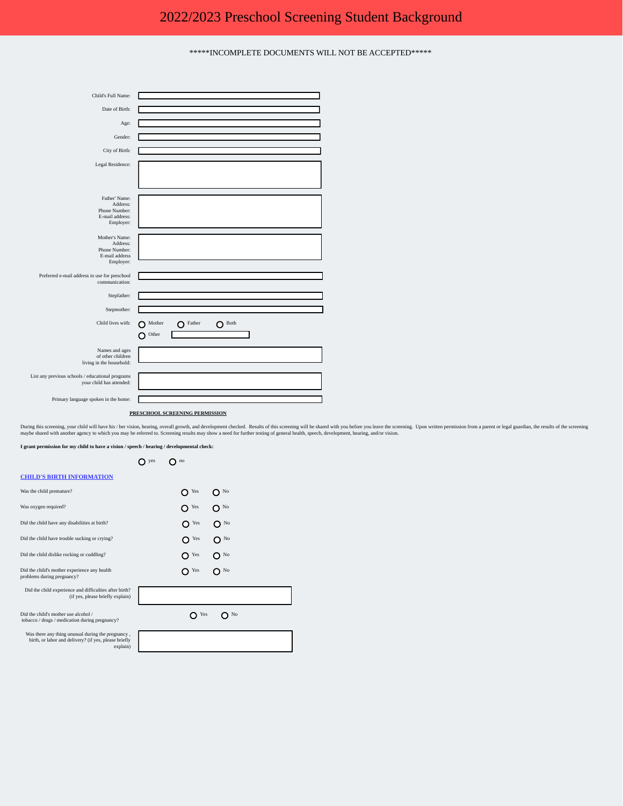\*\*\*\*\*INCOMPLETE DOCUMENTS WILL NOT BE ACCEPTED\*\*\*\*\*



## **PRESCHOOL SCREENING PERMISSION**

During this screening, your child will have his / her vision, hearing, overall growth, and development checked. Results of this screening will be shared with you before you leave the screening. Upon written permission from

**I grant permission for my child to have a vision / speech / hearing / developmental check:**

 $O$  yes  $O$  no

## **CHILD'S BIRTH INFORMATION**

| Was the child premature?                                                                                               | Yes<br>No |
|------------------------------------------------------------------------------------------------------------------------|-----------|
| Was oxygen required?                                                                                                   | Yes<br>No |
| Did the child have any disabilities at birth?                                                                          | Yes<br>No |
| Did the child have trouble sucking or crying?                                                                          | Yes<br>No |
| Did the child dislike rocking or cuddling?                                                                             | Yes<br>No |
| Did the child's mother experience any health<br>problems during pregnancy?                                             | Yes<br>No |
| Did the child experience and difficulties after birth?<br>(if yes, please briefly explain)                             |           |
| Did the child's mother use alcohol /<br>tobacco / drugs / medication during pregnancy?                                 | Yes<br>No |
| Was there any thing unusual during the pregnancy,<br>birth, or labor and delivery? (if yes, please briefly<br>explain) |           |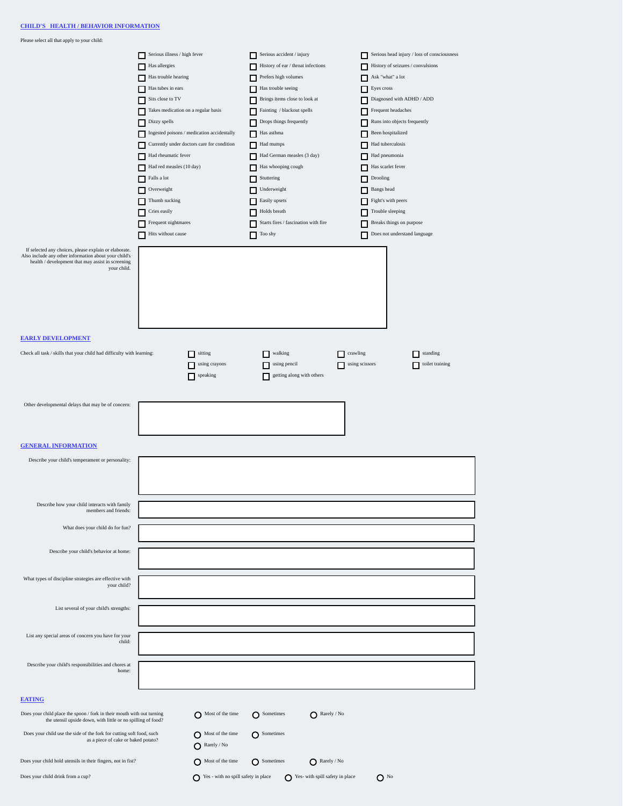Please select all that apply to your child:

|                                                                                                                                                                                    | $\hfill$ Serious illness / high fever<br>Has allergies<br>Has trouble hearing<br>Has tubes in ears<br>Sits close to TV<br>Takes medication on a regular basis<br>$\Box$ Dizzy spells<br>Ingested poisons / medication accidentally<br>Currently under doctors care for condition<br>Had rheumatic fever<br>Had red measles (10 day)<br>Falls a lot<br>$\Box$ Overweight<br>Thumb sucking<br>$\Box$ Cries easily<br>$\Box$ Frequent nightmares<br>Hits without cause |                                                     | Serious accident / injury<br>History of ear / throat infections<br>Prefers high volumes<br>□<br>Has trouble seeing<br>Brings items close to look at<br>Fainting / blackout spells<br>Drops things frequently<br>Has asthma<br>Had mumps<br>п<br>Had German measles (3 day)<br>п<br>Has whooping cough<br>$\Box$ Stuttering<br>Underweight<br>Easily upsets<br>Holds breath<br>Starts fires / fascination with fire<br>п<br>Too shy |                                 | Serious head injury / loss of consciousness<br>History of seizures / convulsions<br>п<br>$\blacksquare$<br>Ask "what" a lot<br>Eyes cross<br>$\hfill$ Diagnosed with ADHD / ADD<br>Frequent headaches<br>Runs into objects frequently<br>Been hospitalized<br>Had tuberculosis<br>Had pneumonia<br>Has scarlet fever<br>$\Box$ Drooling<br>Bangs head<br>Fight's with peers<br>Trouble sleeping<br>п<br>Breaks things on purpose<br>п<br>Does not understand language |
|------------------------------------------------------------------------------------------------------------------------------------------------------------------------------------|---------------------------------------------------------------------------------------------------------------------------------------------------------------------------------------------------------------------------------------------------------------------------------------------------------------------------------------------------------------------------------------------------------------------------------------------------------------------|-----------------------------------------------------|------------------------------------------------------------------------------------------------------------------------------------------------------------------------------------------------------------------------------------------------------------------------------------------------------------------------------------------------------------------------------------------------------------------------------------|---------------------------------|-----------------------------------------------------------------------------------------------------------------------------------------------------------------------------------------------------------------------------------------------------------------------------------------------------------------------------------------------------------------------------------------------------------------------------------------------------------------------|
| If selected any choices, please explain or elaborate.<br>Also include any other information about your child's<br>health / development that may assist in screening<br>your child. |                                                                                                                                                                                                                                                                                                                                                                                                                                                                     |                                                     |                                                                                                                                                                                                                                                                                                                                                                                                                                    |                                 |                                                                                                                                                                                                                                                                                                                                                                                                                                                                       |
| <b>EARLY DEVELOPMENT</b>                                                                                                                                                           |                                                                                                                                                                                                                                                                                                                                                                                                                                                                     |                                                     |                                                                                                                                                                                                                                                                                                                                                                                                                                    |                                 |                                                                                                                                                                                                                                                                                                                                                                                                                                                                       |
| Check all task / skills that your child had difficulty with learning:                                                                                                              |                                                                                                                                                                                                                                                                                                                                                                                                                                                                     | sitting<br>П<br>using crayons<br>г<br>speaking<br>г | walking<br>□<br>using pencil<br>$\Box$<br>getting along with others<br>П                                                                                                                                                                                                                                                                                                                                                           | crawling<br>◻<br>using scissors | standing<br>$\Box$<br>toilet training<br>г                                                                                                                                                                                                                                                                                                                                                                                                                            |
| Other developmental delays that may be of concern:                                                                                                                                 |                                                                                                                                                                                                                                                                                                                                                                                                                                                                     |                                                     |                                                                                                                                                                                                                                                                                                                                                                                                                                    |                                 |                                                                                                                                                                                                                                                                                                                                                                                                                                                                       |
| <b>GENERAL INFORMATION</b>                                                                                                                                                         |                                                                                                                                                                                                                                                                                                                                                                                                                                                                     |                                                     |                                                                                                                                                                                                                                                                                                                                                                                                                                    |                                 |                                                                                                                                                                                                                                                                                                                                                                                                                                                                       |
| Describe your child's temperament or personality:                                                                                                                                  |                                                                                                                                                                                                                                                                                                                                                                                                                                                                     |                                                     |                                                                                                                                                                                                                                                                                                                                                                                                                                    |                                 |                                                                                                                                                                                                                                                                                                                                                                                                                                                                       |
| Describe how your child interacts with family<br>members and friends:                                                                                                              |                                                                                                                                                                                                                                                                                                                                                                                                                                                                     |                                                     |                                                                                                                                                                                                                                                                                                                                                                                                                                    |                                 |                                                                                                                                                                                                                                                                                                                                                                                                                                                                       |
| What does your child do for fun?                                                                                                                                                   |                                                                                                                                                                                                                                                                                                                                                                                                                                                                     |                                                     |                                                                                                                                                                                                                                                                                                                                                                                                                                    |                                 |                                                                                                                                                                                                                                                                                                                                                                                                                                                                       |
| Describe your child's behavior at home:                                                                                                                                            |                                                                                                                                                                                                                                                                                                                                                                                                                                                                     |                                                     |                                                                                                                                                                                                                                                                                                                                                                                                                                    |                                 |                                                                                                                                                                                                                                                                                                                                                                                                                                                                       |
| What types of discipline strategies are effective with<br>your child?                                                                                                              |                                                                                                                                                                                                                                                                                                                                                                                                                                                                     |                                                     |                                                                                                                                                                                                                                                                                                                                                                                                                                    |                                 |                                                                                                                                                                                                                                                                                                                                                                                                                                                                       |
| List several of your child's strengths:                                                                                                                                            |                                                                                                                                                                                                                                                                                                                                                                                                                                                                     |                                                     |                                                                                                                                                                                                                                                                                                                                                                                                                                    |                                 |                                                                                                                                                                                                                                                                                                                                                                                                                                                                       |
| List any special areas of concern you have for your<br>child:                                                                                                                      |                                                                                                                                                                                                                                                                                                                                                                                                                                                                     |                                                     |                                                                                                                                                                                                                                                                                                                                                                                                                                    |                                 |                                                                                                                                                                                                                                                                                                                                                                                                                                                                       |
| Describe your child's responsibilities and chores at<br>home:                                                                                                                      |                                                                                                                                                                                                                                                                                                                                                                                                                                                                     |                                                     |                                                                                                                                                                                                                                                                                                                                                                                                                                    |                                 |                                                                                                                                                                                                                                                                                                                                                                                                                                                                       |
| <b>EATING</b>                                                                                                                                                                      |                                                                                                                                                                                                                                                                                                                                                                                                                                                                     |                                                     |                                                                                                                                                                                                                                                                                                                                                                                                                                    |                                 |                                                                                                                                                                                                                                                                                                                                                                                                                                                                       |
| Does your child place the spoon / fork in their mouth with out turning<br>the utensil upside down, with little or no spilling of food?                                             |                                                                                                                                                                                                                                                                                                                                                                                                                                                                     | Most of the time                                    | $\bigcap$ Sometimes                                                                                                                                                                                                                                                                                                                                                                                                                | Rarely / No                     |                                                                                                                                                                                                                                                                                                                                                                                                                                                                       |
| Does your child use the side of the fork for cutting soft food, such<br>as a piece of cake or baked potato?                                                                        |                                                                                                                                                                                                                                                                                                                                                                                                                                                                     | Most of the time<br>Rarely / No                     | $\bigcap$ Sometimes                                                                                                                                                                                                                                                                                                                                                                                                                |                                 |                                                                                                                                                                                                                                                                                                                                                                                                                                                                       |
| Does your child hold utensils in their fingers, not in fist?                                                                                                                       |                                                                                                                                                                                                                                                                                                                                                                                                                                                                     | Most of the time                                    | $\bigcap$ Sometimes                                                                                                                                                                                                                                                                                                                                                                                                                | Rarely / No                     |                                                                                                                                                                                                                                                                                                                                                                                                                                                                       |

Does your child drink from a cup?  $\bigcirc$  Yes - with no spill safety in place  $\bigcirc$  Yes- with spill safety in place  $\bigcirc$  No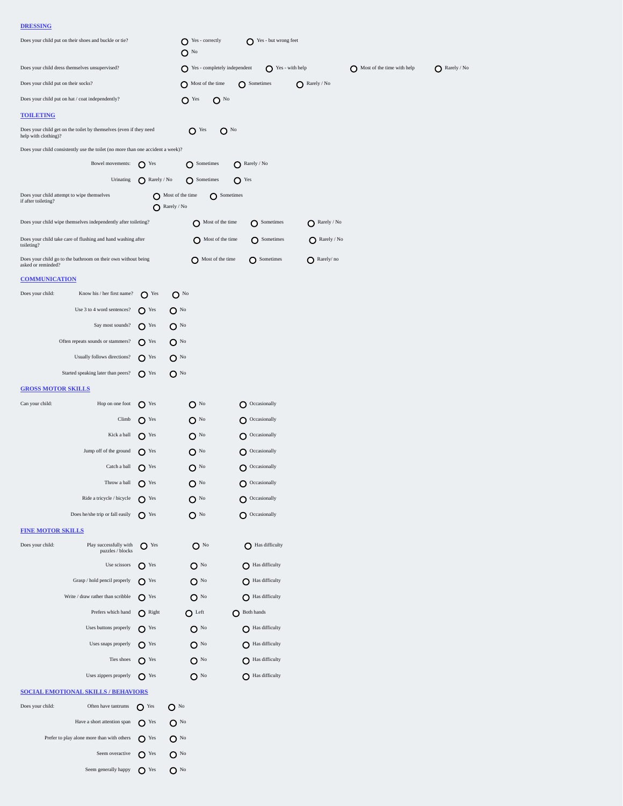## **DRESSING**

| Does your child dress themselves unsupervised?<br>$\bigcap$ Yes - completely independent<br>$\bigcirc$ Yes - with help<br>Most of the time with help<br>Does your child put on their socks?<br>Most of the time<br>$\bigcap$ Rarely / No<br>$\bigcap$ Sometimes<br>Does your child put on hat / coat independently?<br>$O$ Yes<br>$O^{N_0}$<br><b>TOILETING</b><br>Does your child get on the toilet by themselves (even if they need<br>$O$ Yes<br>O <sup>No</sup><br>help with clothing)?<br>Does your child consistently use the toilet (no more than one accident a week)?<br>O Sometimes<br>Bowel movements: $\bigcirc$ Yes<br>$\bigcirc$ Rarely / No<br>Urinating<br>Rarely / No<br>O Sometimes<br>$\mathbf{O}$ Yes<br>Does your child attempt to wipe themselves<br>Most of the time<br>O Sometimes<br>if after toileting?<br>Rarely / No<br>Does your child wipe themselves independently after toileting?<br>Most of the time<br>$\bigcirc$ Sometimes<br>$\bigcirc$ Rarely / No<br>Does your child take care of flushing and hand washing after<br>Most of the time<br><b>O</b> Sometimes<br>$\bigcirc$ Rarely / No<br>toileting?<br>Does your child go to the bathroom on their own without being<br>Most of the time<br><b>O</b> Sometimes<br>$\bigcirc$ Rarely/no<br>asked or reminded?<br><b>COMMUNICATION</b><br>Does your child:<br>Know his / her first name? $\bigcap$ Yes<br>$O^{N_0}$<br>Use 3 to 4 word sentences?<br>$\Omega$ Yes<br>$O^{N_0}$<br>Say most sounds?<br>$O$ <sup>Yes</sup><br>$O^{N_0}$<br>Often repeats sounds or stammers?<br>$\bigcap$ Yes<br>$O^{N_0}$<br>Usually follows directions?<br>$O$ <sup>Yes</sup><br>$O^{N_0}$<br>Started speaking later than peers?<br>$\Omega$ <sup>Yes</sup><br>$O^{N_0}$<br><b>GROSS MOTOR SKILLS</b><br>Hop on one foot<br>Can your child:<br>$\bigcap$ Yes<br>$\Omega$ <sup>No</sup><br>O Occasionally<br>$O^{N_0}$<br>Climb<br>$\mathbf{O}$ Yes<br>$\bigcirc$ Occasionally<br>Kick a ball<br>$\Omega$ <sup>Yes</sup><br>$O$ <sup>No</sup><br>O Occasionally<br>Jump off of the ground $\bigcap$ Yes<br>$\Omega$ <sup>No</sup><br>$\bigcirc$ Occasionally<br>Catch a ball $\bigcirc$ Yes<br>$O^{N_0}$<br>$O$ Occasionally<br>Throw a ball $\bigcap$ Yes<br>$O$ <sup>No</sup><br>$\bigcirc$ Occasionally<br>Ride a tricycle / bicycle<br>$O$ <sup>Yes</sup><br>$O^{N_0}$<br>$\bigcirc$ Occasionally<br>$O^{N_0}$<br>Does he/she trip or fall easily<br>$\Omega$ Yes<br>$\bigcirc$ Occasionally<br><b>FINE MOTOR SKILLS</b><br>Does your child:<br>Play successfully with<br>$O$ Yes<br>$\mathbf{O}$ No<br>As difficulty<br>puzzles / blocks<br>Use scissors<br>$O$ <sup>Yes</sup><br>$O$ No<br>As difficulty<br>A Has difficulty<br>Grasp / hold pencil properly<br>$\bigcap$ Yes<br>$O$ <sup>No</sup><br>As difficulty<br>Write / draw rather than scribble<br>$O$ <sup>Yes</sup><br>$O^{N_0}$<br>Prefers which hand<br>$\bigcap$ Right<br>$O$ Left<br>Both hands<br>A Has difficulty<br>Uses buttons properly<br>$O^{N_0}$<br>$\Omega$ Yes<br>Uses snaps properly<br>$\Omega$ <sup>Yes</sup><br>$O^{N_0}$<br>A Has difficulty<br>Ties shoes<br>$O$ <sup>Yes</sup><br>$O^{N_0}$<br>As difficulty<br>A Has difficulty<br>Uses zippers properly<br>$\bigcap$ Yes<br>$O^{N_0}$<br><b>SOCIAL EMOTIONAL SKILLS / BEHAVIORS</b><br>Does your child:<br>$O$ <sup>Yes</sup><br>O <sup>No</sup><br>Often have tantrums<br>Have a short attention span<br>$O$ <sup>Yes</sup><br>$O^{N_0}$<br>Prefer to play alone more than with others | Does your child put on their shoes and buckle or tie? |              | $\bigcirc$ Yes - correctly<br>$O^{N_0}$ | Yes - but wrong feet |  |             |
|------------------------------------------------------------------------------------------------------------------------------------------------------------------------------------------------------------------------------------------------------------------------------------------------------------------------------------------------------------------------------------------------------------------------------------------------------------------------------------------------------------------------------------------------------------------------------------------------------------------------------------------------------------------------------------------------------------------------------------------------------------------------------------------------------------------------------------------------------------------------------------------------------------------------------------------------------------------------------------------------------------------------------------------------------------------------------------------------------------------------------------------------------------------------------------------------------------------------------------------------------------------------------------------------------------------------------------------------------------------------------------------------------------------------------------------------------------------------------------------------------------------------------------------------------------------------------------------------------------------------------------------------------------------------------------------------------------------------------------------------------------------------------------------------------------------------------------------------------------------------------------------------------------------------------------------------------------------------------------------------------------------------------------------------------------------------------------------------------------------------------------------------------------------------------------------------------------------------------------------------------------------------------------------------------------------------------------------------------------------------------------------------------------------------------------------------------------------------------------------------------------------------------------------------------------------------------------------------------------------------------------------------------------------------------------------------------------------------------------------------------------------------------------------------------------------------------------------------------------------------------------------------------------------------------------------------------------------------------------------------------------------------------------------------------------------------------------------------------------------------------------------------------------------------------------------------------------------------------------------------------------------------------------------------------------------------------------------------------------------------------------------------------------------------------------------------------------------------------------------------------|-------------------------------------------------------|--------------|-----------------------------------------|----------------------|--|-------------|
|                                                                                                                                                                                                                                                                                                                                                                                                                                                                                                                                                                                                                                                                                                                                                                                                                                                                                                                                                                                                                                                                                                                                                                                                                                                                                                                                                                                                                                                                                                                                                                                                                                                                                                                                                                                                                                                                                                                                                                                                                                                                                                                                                                                                                                                                                                                                                                                                                                                                                                                                                                                                                                                                                                                                                                                                                                                                                                                                                                                                                                                                                                                                                                                                                                                                                                                                                                                                                                                                                                      |                                                       |              |                                         |                      |  | Rarely / No |
|                                                                                                                                                                                                                                                                                                                                                                                                                                                                                                                                                                                                                                                                                                                                                                                                                                                                                                                                                                                                                                                                                                                                                                                                                                                                                                                                                                                                                                                                                                                                                                                                                                                                                                                                                                                                                                                                                                                                                                                                                                                                                                                                                                                                                                                                                                                                                                                                                                                                                                                                                                                                                                                                                                                                                                                                                                                                                                                                                                                                                                                                                                                                                                                                                                                                                                                                                                                                                                                                                                      |                                                       |              |                                         |                      |  |             |
|                                                                                                                                                                                                                                                                                                                                                                                                                                                                                                                                                                                                                                                                                                                                                                                                                                                                                                                                                                                                                                                                                                                                                                                                                                                                                                                                                                                                                                                                                                                                                                                                                                                                                                                                                                                                                                                                                                                                                                                                                                                                                                                                                                                                                                                                                                                                                                                                                                                                                                                                                                                                                                                                                                                                                                                                                                                                                                                                                                                                                                                                                                                                                                                                                                                                                                                                                                                                                                                                                                      |                                                       |              |                                         |                      |  |             |
|                                                                                                                                                                                                                                                                                                                                                                                                                                                                                                                                                                                                                                                                                                                                                                                                                                                                                                                                                                                                                                                                                                                                                                                                                                                                                                                                                                                                                                                                                                                                                                                                                                                                                                                                                                                                                                                                                                                                                                                                                                                                                                                                                                                                                                                                                                                                                                                                                                                                                                                                                                                                                                                                                                                                                                                                                                                                                                                                                                                                                                                                                                                                                                                                                                                                                                                                                                                                                                                                                                      |                                                       |              |                                         |                      |  |             |
|                                                                                                                                                                                                                                                                                                                                                                                                                                                                                                                                                                                                                                                                                                                                                                                                                                                                                                                                                                                                                                                                                                                                                                                                                                                                                                                                                                                                                                                                                                                                                                                                                                                                                                                                                                                                                                                                                                                                                                                                                                                                                                                                                                                                                                                                                                                                                                                                                                                                                                                                                                                                                                                                                                                                                                                                                                                                                                                                                                                                                                                                                                                                                                                                                                                                                                                                                                                                                                                                                                      |                                                       |              |                                         |                      |  |             |
|                                                                                                                                                                                                                                                                                                                                                                                                                                                                                                                                                                                                                                                                                                                                                                                                                                                                                                                                                                                                                                                                                                                                                                                                                                                                                                                                                                                                                                                                                                                                                                                                                                                                                                                                                                                                                                                                                                                                                                                                                                                                                                                                                                                                                                                                                                                                                                                                                                                                                                                                                                                                                                                                                                                                                                                                                                                                                                                                                                                                                                                                                                                                                                                                                                                                                                                                                                                                                                                                                                      |                                                       |              |                                         |                      |  |             |
|                                                                                                                                                                                                                                                                                                                                                                                                                                                                                                                                                                                                                                                                                                                                                                                                                                                                                                                                                                                                                                                                                                                                                                                                                                                                                                                                                                                                                                                                                                                                                                                                                                                                                                                                                                                                                                                                                                                                                                                                                                                                                                                                                                                                                                                                                                                                                                                                                                                                                                                                                                                                                                                                                                                                                                                                                                                                                                                                                                                                                                                                                                                                                                                                                                                                                                                                                                                                                                                                                                      |                                                       |              |                                         |                      |  |             |
|                                                                                                                                                                                                                                                                                                                                                                                                                                                                                                                                                                                                                                                                                                                                                                                                                                                                                                                                                                                                                                                                                                                                                                                                                                                                                                                                                                                                                                                                                                                                                                                                                                                                                                                                                                                                                                                                                                                                                                                                                                                                                                                                                                                                                                                                                                                                                                                                                                                                                                                                                                                                                                                                                                                                                                                                                                                                                                                                                                                                                                                                                                                                                                                                                                                                                                                                                                                                                                                                                                      |                                                       |              |                                         |                      |  |             |
|                                                                                                                                                                                                                                                                                                                                                                                                                                                                                                                                                                                                                                                                                                                                                                                                                                                                                                                                                                                                                                                                                                                                                                                                                                                                                                                                                                                                                                                                                                                                                                                                                                                                                                                                                                                                                                                                                                                                                                                                                                                                                                                                                                                                                                                                                                                                                                                                                                                                                                                                                                                                                                                                                                                                                                                                                                                                                                                                                                                                                                                                                                                                                                                                                                                                                                                                                                                                                                                                                                      |                                                       |              |                                         |                      |  |             |
|                                                                                                                                                                                                                                                                                                                                                                                                                                                                                                                                                                                                                                                                                                                                                                                                                                                                                                                                                                                                                                                                                                                                                                                                                                                                                                                                                                                                                                                                                                                                                                                                                                                                                                                                                                                                                                                                                                                                                                                                                                                                                                                                                                                                                                                                                                                                                                                                                                                                                                                                                                                                                                                                                                                                                                                                                                                                                                                                                                                                                                                                                                                                                                                                                                                                                                                                                                                                                                                                                                      |                                                       |              |                                         |                      |  |             |
|                                                                                                                                                                                                                                                                                                                                                                                                                                                                                                                                                                                                                                                                                                                                                                                                                                                                                                                                                                                                                                                                                                                                                                                                                                                                                                                                                                                                                                                                                                                                                                                                                                                                                                                                                                                                                                                                                                                                                                                                                                                                                                                                                                                                                                                                                                                                                                                                                                                                                                                                                                                                                                                                                                                                                                                                                                                                                                                                                                                                                                                                                                                                                                                                                                                                                                                                                                                                                                                                                                      |                                                       |              |                                         |                      |  |             |
|                                                                                                                                                                                                                                                                                                                                                                                                                                                                                                                                                                                                                                                                                                                                                                                                                                                                                                                                                                                                                                                                                                                                                                                                                                                                                                                                                                                                                                                                                                                                                                                                                                                                                                                                                                                                                                                                                                                                                                                                                                                                                                                                                                                                                                                                                                                                                                                                                                                                                                                                                                                                                                                                                                                                                                                                                                                                                                                                                                                                                                                                                                                                                                                                                                                                                                                                                                                                                                                                                                      |                                                       |              |                                         |                      |  |             |
|                                                                                                                                                                                                                                                                                                                                                                                                                                                                                                                                                                                                                                                                                                                                                                                                                                                                                                                                                                                                                                                                                                                                                                                                                                                                                                                                                                                                                                                                                                                                                                                                                                                                                                                                                                                                                                                                                                                                                                                                                                                                                                                                                                                                                                                                                                                                                                                                                                                                                                                                                                                                                                                                                                                                                                                                                                                                                                                                                                                                                                                                                                                                                                                                                                                                                                                                                                                                                                                                                                      |                                                       |              |                                         |                      |  |             |
|                                                                                                                                                                                                                                                                                                                                                                                                                                                                                                                                                                                                                                                                                                                                                                                                                                                                                                                                                                                                                                                                                                                                                                                                                                                                                                                                                                                                                                                                                                                                                                                                                                                                                                                                                                                                                                                                                                                                                                                                                                                                                                                                                                                                                                                                                                                                                                                                                                                                                                                                                                                                                                                                                                                                                                                                                                                                                                                                                                                                                                                                                                                                                                                                                                                                                                                                                                                                                                                                                                      |                                                       |              |                                         |                      |  |             |
|                                                                                                                                                                                                                                                                                                                                                                                                                                                                                                                                                                                                                                                                                                                                                                                                                                                                                                                                                                                                                                                                                                                                                                                                                                                                                                                                                                                                                                                                                                                                                                                                                                                                                                                                                                                                                                                                                                                                                                                                                                                                                                                                                                                                                                                                                                                                                                                                                                                                                                                                                                                                                                                                                                                                                                                                                                                                                                                                                                                                                                                                                                                                                                                                                                                                                                                                                                                                                                                                                                      |                                                       |              |                                         |                      |  |             |
|                                                                                                                                                                                                                                                                                                                                                                                                                                                                                                                                                                                                                                                                                                                                                                                                                                                                                                                                                                                                                                                                                                                                                                                                                                                                                                                                                                                                                                                                                                                                                                                                                                                                                                                                                                                                                                                                                                                                                                                                                                                                                                                                                                                                                                                                                                                                                                                                                                                                                                                                                                                                                                                                                                                                                                                                                                                                                                                                                                                                                                                                                                                                                                                                                                                                                                                                                                                                                                                                                                      |                                                       |              |                                         |                      |  |             |
|                                                                                                                                                                                                                                                                                                                                                                                                                                                                                                                                                                                                                                                                                                                                                                                                                                                                                                                                                                                                                                                                                                                                                                                                                                                                                                                                                                                                                                                                                                                                                                                                                                                                                                                                                                                                                                                                                                                                                                                                                                                                                                                                                                                                                                                                                                                                                                                                                                                                                                                                                                                                                                                                                                                                                                                                                                                                                                                                                                                                                                                                                                                                                                                                                                                                                                                                                                                                                                                                                                      |                                                       |              |                                         |                      |  |             |
|                                                                                                                                                                                                                                                                                                                                                                                                                                                                                                                                                                                                                                                                                                                                                                                                                                                                                                                                                                                                                                                                                                                                                                                                                                                                                                                                                                                                                                                                                                                                                                                                                                                                                                                                                                                                                                                                                                                                                                                                                                                                                                                                                                                                                                                                                                                                                                                                                                                                                                                                                                                                                                                                                                                                                                                                                                                                                                                                                                                                                                                                                                                                                                                                                                                                                                                                                                                                                                                                                                      |                                                       |              |                                         |                      |  |             |
|                                                                                                                                                                                                                                                                                                                                                                                                                                                                                                                                                                                                                                                                                                                                                                                                                                                                                                                                                                                                                                                                                                                                                                                                                                                                                                                                                                                                                                                                                                                                                                                                                                                                                                                                                                                                                                                                                                                                                                                                                                                                                                                                                                                                                                                                                                                                                                                                                                                                                                                                                                                                                                                                                                                                                                                                                                                                                                                                                                                                                                                                                                                                                                                                                                                                                                                                                                                                                                                                                                      |                                                       |              |                                         |                      |  |             |
|                                                                                                                                                                                                                                                                                                                                                                                                                                                                                                                                                                                                                                                                                                                                                                                                                                                                                                                                                                                                                                                                                                                                                                                                                                                                                                                                                                                                                                                                                                                                                                                                                                                                                                                                                                                                                                                                                                                                                                                                                                                                                                                                                                                                                                                                                                                                                                                                                                                                                                                                                                                                                                                                                                                                                                                                                                                                                                                                                                                                                                                                                                                                                                                                                                                                                                                                                                                                                                                                                                      |                                                       |              |                                         |                      |  |             |
|                                                                                                                                                                                                                                                                                                                                                                                                                                                                                                                                                                                                                                                                                                                                                                                                                                                                                                                                                                                                                                                                                                                                                                                                                                                                                                                                                                                                                                                                                                                                                                                                                                                                                                                                                                                                                                                                                                                                                                                                                                                                                                                                                                                                                                                                                                                                                                                                                                                                                                                                                                                                                                                                                                                                                                                                                                                                                                                                                                                                                                                                                                                                                                                                                                                                                                                                                                                                                                                                                                      |                                                       |              |                                         |                      |  |             |
|                                                                                                                                                                                                                                                                                                                                                                                                                                                                                                                                                                                                                                                                                                                                                                                                                                                                                                                                                                                                                                                                                                                                                                                                                                                                                                                                                                                                                                                                                                                                                                                                                                                                                                                                                                                                                                                                                                                                                                                                                                                                                                                                                                                                                                                                                                                                                                                                                                                                                                                                                                                                                                                                                                                                                                                                                                                                                                                                                                                                                                                                                                                                                                                                                                                                                                                                                                                                                                                                                                      |                                                       |              |                                         |                      |  |             |
|                                                                                                                                                                                                                                                                                                                                                                                                                                                                                                                                                                                                                                                                                                                                                                                                                                                                                                                                                                                                                                                                                                                                                                                                                                                                                                                                                                                                                                                                                                                                                                                                                                                                                                                                                                                                                                                                                                                                                                                                                                                                                                                                                                                                                                                                                                                                                                                                                                                                                                                                                                                                                                                                                                                                                                                                                                                                                                                                                                                                                                                                                                                                                                                                                                                                                                                                                                                                                                                                                                      |                                                       |              |                                         |                      |  |             |
|                                                                                                                                                                                                                                                                                                                                                                                                                                                                                                                                                                                                                                                                                                                                                                                                                                                                                                                                                                                                                                                                                                                                                                                                                                                                                                                                                                                                                                                                                                                                                                                                                                                                                                                                                                                                                                                                                                                                                                                                                                                                                                                                                                                                                                                                                                                                                                                                                                                                                                                                                                                                                                                                                                                                                                                                                                                                                                                                                                                                                                                                                                                                                                                                                                                                                                                                                                                                                                                                                                      |                                                       |              |                                         |                      |  |             |
|                                                                                                                                                                                                                                                                                                                                                                                                                                                                                                                                                                                                                                                                                                                                                                                                                                                                                                                                                                                                                                                                                                                                                                                                                                                                                                                                                                                                                                                                                                                                                                                                                                                                                                                                                                                                                                                                                                                                                                                                                                                                                                                                                                                                                                                                                                                                                                                                                                                                                                                                                                                                                                                                                                                                                                                                                                                                                                                                                                                                                                                                                                                                                                                                                                                                                                                                                                                                                                                                                                      |                                                       |              |                                         |                      |  |             |
|                                                                                                                                                                                                                                                                                                                                                                                                                                                                                                                                                                                                                                                                                                                                                                                                                                                                                                                                                                                                                                                                                                                                                                                                                                                                                                                                                                                                                                                                                                                                                                                                                                                                                                                                                                                                                                                                                                                                                                                                                                                                                                                                                                                                                                                                                                                                                                                                                                                                                                                                                                                                                                                                                                                                                                                                                                                                                                                                                                                                                                                                                                                                                                                                                                                                                                                                                                                                                                                                                                      |                                                       |              |                                         |                      |  |             |
|                                                                                                                                                                                                                                                                                                                                                                                                                                                                                                                                                                                                                                                                                                                                                                                                                                                                                                                                                                                                                                                                                                                                                                                                                                                                                                                                                                                                                                                                                                                                                                                                                                                                                                                                                                                                                                                                                                                                                                                                                                                                                                                                                                                                                                                                                                                                                                                                                                                                                                                                                                                                                                                                                                                                                                                                                                                                                                                                                                                                                                                                                                                                                                                                                                                                                                                                                                                                                                                                                                      |                                                       |              |                                         |                      |  |             |
|                                                                                                                                                                                                                                                                                                                                                                                                                                                                                                                                                                                                                                                                                                                                                                                                                                                                                                                                                                                                                                                                                                                                                                                                                                                                                                                                                                                                                                                                                                                                                                                                                                                                                                                                                                                                                                                                                                                                                                                                                                                                                                                                                                                                                                                                                                                                                                                                                                                                                                                                                                                                                                                                                                                                                                                                                                                                                                                                                                                                                                                                                                                                                                                                                                                                                                                                                                                                                                                                                                      |                                                       |              |                                         |                      |  |             |
|                                                                                                                                                                                                                                                                                                                                                                                                                                                                                                                                                                                                                                                                                                                                                                                                                                                                                                                                                                                                                                                                                                                                                                                                                                                                                                                                                                                                                                                                                                                                                                                                                                                                                                                                                                                                                                                                                                                                                                                                                                                                                                                                                                                                                                                                                                                                                                                                                                                                                                                                                                                                                                                                                                                                                                                                                                                                                                                                                                                                                                                                                                                                                                                                                                                                                                                                                                                                                                                                                                      |                                                       |              |                                         |                      |  |             |
|                                                                                                                                                                                                                                                                                                                                                                                                                                                                                                                                                                                                                                                                                                                                                                                                                                                                                                                                                                                                                                                                                                                                                                                                                                                                                                                                                                                                                                                                                                                                                                                                                                                                                                                                                                                                                                                                                                                                                                                                                                                                                                                                                                                                                                                                                                                                                                                                                                                                                                                                                                                                                                                                                                                                                                                                                                                                                                                                                                                                                                                                                                                                                                                                                                                                                                                                                                                                                                                                                                      |                                                       |              |                                         |                      |  |             |
|                                                                                                                                                                                                                                                                                                                                                                                                                                                                                                                                                                                                                                                                                                                                                                                                                                                                                                                                                                                                                                                                                                                                                                                                                                                                                                                                                                                                                                                                                                                                                                                                                                                                                                                                                                                                                                                                                                                                                                                                                                                                                                                                                                                                                                                                                                                                                                                                                                                                                                                                                                                                                                                                                                                                                                                                                                                                                                                                                                                                                                                                                                                                                                                                                                                                                                                                                                                                                                                                                                      |                                                       |              |                                         |                      |  |             |
|                                                                                                                                                                                                                                                                                                                                                                                                                                                                                                                                                                                                                                                                                                                                                                                                                                                                                                                                                                                                                                                                                                                                                                                                                                                                                                                                                                                                                                                                                                                                                                                                                                                                                                                                                                                                                                                                                                                                                                                                                                                                                                                                                                                                                                                                                                                                                                                                                                                                                                                                                                                                                                                                                                                                                                                                                                                                                                                                                                                                                                                                                                                                                                                                                                                                                                                                                                                                                                                                                                      |                                                       |              |                                         |                      |  |             |
|                                                                                                                                                                                                                                                                                                                                                                                                                                                                                                                                                                                                                                                                                                                                                                                                                                                                                                                                                                                                                                                                                                                                                                                                                                                                                                                                                                                                                                                                                                                                                                                                                                                                                                                                                                                                                                                                                                                                                                                                                                                                                                                                                                                                                                                                                                                                                                                                                                                                                                                                                                                                                                                                                                                                                                                                                                                                                                                                                                                                                                                                                                                                                                                                                                                                                                                                                                                                                                                                                                      |                                                       |              |                                         |                      |  |             |
|                                                                                                                                                                                                                                                                                                                                                                                                                                                                                                                                                                                                                                                                                                                                                                                                                                                                                                                                                                                                                                                                                                                                                                                                                                                                                                                                                                                                                                                                                                                                                                                                                                                                                                                                                                                                                                                                                                                                                                                                                                                                                                                                                                                                                                                                                                                                                                                                                                                                                                                                                                                                                                                                                                                                                                                                                                                                                                                                                                                                                                                                                                                                                                                                                                                                                                                                                                                                                                                                                                      |                                                       |              |                                         |                      |  |             |
|                                                                                                                                                                                                                                                                                                                                                                                                                                                                                                                                                                                                                                                                                                                                                                                                                                                                                                                                                                                                                                                                                                                                                                                                                                                                                                                                                                                                                                                                                                                                                                                                                                                                                                                                                                                                                                                                                                                                                                                                                                                                                                                                                                                                                                                                                                                                                                                                                                                                                                                                                                                                                                                                                                                                                                                                                                                                                                                                                                                                                                                                                                                                                                                                                                                                                                                                                                                                                                                                                                      |                                                       |              |                                         |                      |  |             |
|                                                                                                                                                                                                                                                                                                                                                                                                                                                                                                                                                                                                                                                                                                                                                                                                                                                                                                                                                                                                                                                                                                                                                                                                                                                                                                                                                                                                                                                                                                                                                                                                                                                                                                                                                                                                                                                                                                                                                                                                                                                                                                                                                                                                                                                                                                                                                                                                                                                                                                                                                                                                                                                                                                                                                                                                                                                                                                                                                                                                                                                                                                                                                                                                                                                                                                                                                                                                                                                                                                      |                                                       |              |                                         |                      |  |             |
|                                                                                                                                                                                                                                                                                                                                                                                                                                                                                                                                                                                                                                                                                                                                                                                                                                                                                                                                                                                                                                                                                                                                                                                                                                                                                                                                                                                                                                                                                                                                                                                                                                                                                                                                                                                                                                                                                                                                                                                                                                                                                                                                                                                                                                                                                                                                                                                                                                                                                                                                                                                                                                                                                                                                                                                                                                                                                                                                                                                                                                                                                                                                                                                                                                                                                                                                                                                                                                                                                                      |                                                       |              |                                         |                      |  |             |
|                                                                                                                                                                                                                                                                                                                                                                                                                                                                                                                                                                                                                                                                                                                                                                                                                                                                                                                                                                                                                                                                                                                                                                                                                                                                                                                                                                                                                                                                                                                                                                                                                                                                                                                                                                                                                                                                                                                                                                                                                                                                                                                                                                                                                                                                                                                                                                                                                                                                                                                                                                                                                                                                                                                                                                                                                                                                                                                                                                                                                                                                                                                                                                                                                                                                                                                                                                                                                                                                                                      |                                                       |              |                                         |                      |  |             |
|                                                                                                                                                                                                                                                                                                                                                                                                                                                                                                                                                                                                                                                                                                                                                                                                                                                                                                                                                                                                                                                                                                                                                                                                                                                                                                                                                                                                                                                                                                                                                                                                                                                                                                                                                                                                                                                                                                                                                                                                                                                                                                                                                                                                                                                                                                                                                                                                                                                                                                                                                                                                                                                                                                                                                                                                                                                                                                                                                                                                                                                                                                                                                                                                                                                                                                                                                                                                                                                                                                      |                                                       |              |                                         |                      |  |             |
|                                                                                                                                                                                                                                                                                                                                                                                                                                                                                                                                                                                                                                                                                                                                                                                                                                                                                                                                                                                                                                                                                                                                                                                                                                                                                                                                                                                                                                                                                                                                                                                                                                                                                                                                                                                                                                                                                                                                                                                                                                                                                                                                                                                                                                                                                                                                                                                                                                                                                                                                                                                                                                                                                                                                                                                                                                                                                                                                                                                                                                                                                                                                                                                                                                                                                                                                                                                                                                                                                                      |                                                       |              |                                         |                      |  |             |
|                                                                                                                                                                                                                                                                                                                                                                                                                                                                                                                                                                                                                                                                                                                                                                                                                                                                                                                                                                                                                                                                                                                                                                                                                                                                                                                                                                                                                                                                                                                                                                                                                                                                                                                                                                                                                                                                                                                                                                                                                                                                                                                                                                                                                                                                                                                                                                                                                                                                                                                                                                                                                                                                                                                                                                                                                                                                                                                                                                                                                                                                                                                                                                                                                                                                                                                                                                                                                                                                                                      |                                                       |              |                                         |                      |  |             |
|                                                                                                                                                                                                                                                                                                                                                                                                                                                                                                                                                                                                                                                                                                                                                                                                                                                                                                                                                                                                                                                                                                                                                                                                                                                                                                                                                                                                                                                                                                                                                                                                                                                                                                                                                                                                                                                                                                                                                                                                                                                                                                                                                                                                                                                                                                                                                                                                                                                                                                                                                                                                                                                                                                                                                                                                                                                                                                                                                                                                                                                                                                                                                                                                                                                                                                                                                                                                                                                                                                      |                                                       | $\Omega$ Yes | $O^{N_0}$                               |                      |  |             |

Seem overactive  $\bullet$  Yes  $\bullet$  No Seem generally happy  $\bigcirc$  Yes  $\bigcirc$  No